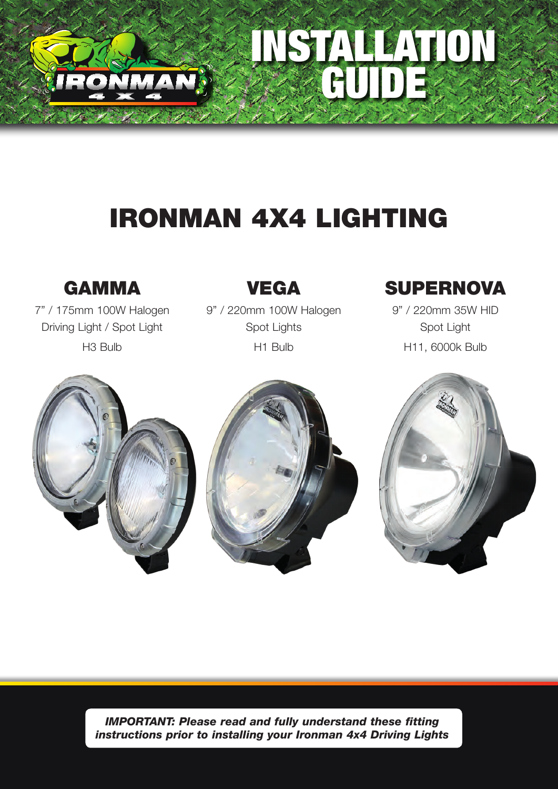

# IRONMAN 4X4 LIGHTING

## GAMMA

7" / 175mm 100W Halogen Driving Light / Spot Light H3 Bulb

### VEGA

9" / 220mm 100W Halogen Spot Lights H1 Bulb

# **SUPERNOVA**

INSTALLATION

GUIDE

9" / 220mm 35W HID Spot Light H11, 6000k Bulb





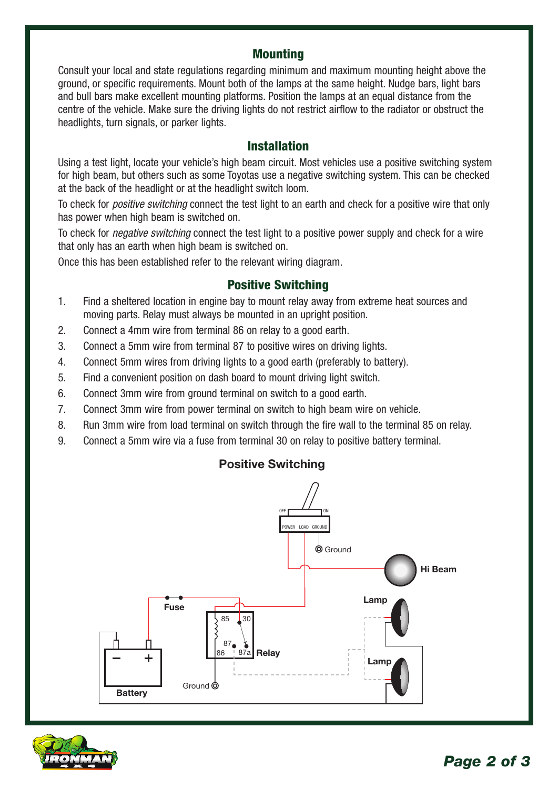#### **Mounting**

Consult your local and state regulations regarding minimum and maximum mounting height above the ground, or specific requirements. Mount both of the lamps at the same height. Nudge bars, light bars and bull bars make excellent mounting platforms. Position the lamps at an equal distance from the centre of the vehicle. Make sure the driving lights do not restrict airflow to the radiator or obstruct the headlights, turn signals, or parker lights.

#### Installation

Using a test light, locate your vehicle's high beam circuit. Most vehicles use a positive switching system for high beam, but others such as some Toyotas use a negative switching system. This can be checked at the back of the headlight or at the headlight switch loom.

To check for *positive switching* connect the test light to an earth and check for a positive wire that only has power when high beam is switched on.

To check for *negative switching* connect the test light to a positive power supply and check for a wire that only has an earth when high beam is switched on.

Once this has been established refer to the relevant wiring diagram.

#### Positive Switching

- 1. Find a sheltered location in engine bay to mount relay away from extreme heat sources and moving parts. Relay must always be mounted in an upright position.
- 2. Connect a 4mm wire from terminal 86 on relay to a good earth.
- 3. Connect a 5mm wire from terminal 87 to positive wires on driving lights.
- 4. Connect 5mm wires from driving lights to a good earth (preferably to battery).
- 5. Find a convenient position on dash board to mount driving light switch.
- 6. Connect 3mm wire from ground terminal on switch to a good earth.
- 7. Connect 3mm wire from power terminal on switch to high beam wire on vehicle.
- 8. Run 3mm wire from load terminal on switch through the fire wall to the terminal 85 on relay.
- 9. Connect a 5mm wire via a fuse from terminal 30 on relay to positive battery terminal.

#### Positive Switching